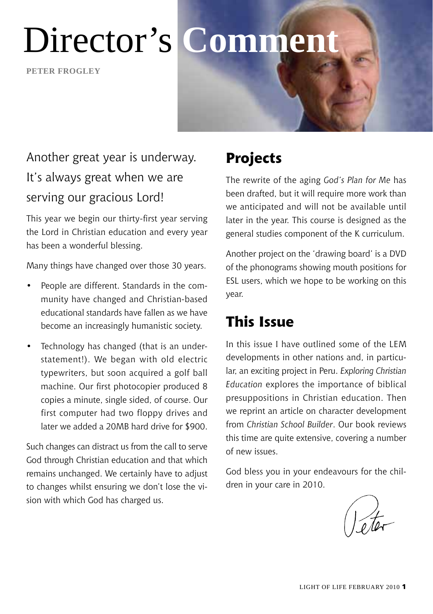**Peter frogley**

# Director's **Comment**

# Another great year is underway. It's always great when we are serving our gracious Lord!

This year we begin our thirty-first year serving the Lord in Christian education and every year has been a wonderful blessing.

Many things have changed over those 30 years.

- People are different. Standards in the community have changed and Christian-based educational standards have fallen as we have become an increasingly humanistic society.
- Technology has changed (that is an understatement!). We began with old electric typewriters, but soon acquired a golf ball machine. Our first photocopier produced 8 copies a minute, single sided, of course. Our first computer had two floppy drives and later we added a 20MB hard drive for \$900.

Such changes can distract us from the call to serve God through Christian education and that which remains unchanged. We certainly have to adjust to changes whilst ensuring we don't lose the vision with which God has charged us.

# **Projects**

The rewrite of the aging *God's Plan for Me* has been drafted, but it will require more work than we anticipated and will not be available until later in the year. This course is designed as the general studies component of the K curriculum.

Another project on the 'drawing board' is a DVD of the phonograms showing mouth positions for ESL users, which we hope to be working on this year.

### **This Issue**

In this issue I have outlined some of the LEM developments in other nations and, in particular, an exciting project in Peru. *Exploring Christian Education* explores the importance of biblical presuppositions in Christian education. Then we reprint an article on character development from *Christian School Builder*. Our book reviews this time are quite extensive, covering a number of new issues.

God bless you in your endeavours for the children in your care in 2010.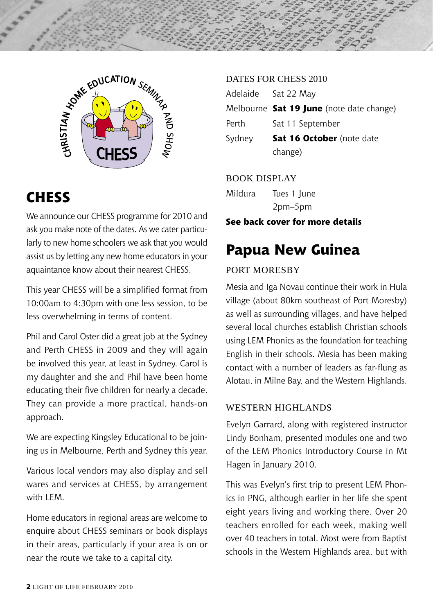



### **CHESS**

We announce our CHESS programme for 2010 and ask you make note of the dates. As we cater particularly to new home schoolers we ask that you would assist us by letting any new home educators in your aquaintance know about their nearest CHESS.

This year CHESS will be a simplified format from 10:00am to 4:30pm with one less session, to be less overwhelming in terms of content.

Phil and Carol Oster did a great job at the Sydney and Perth CHESS in 2009 and they will again be involved this year, at least in Sydney. Carol is my daughter and she and Phil have been home educating their five children for nearly a decade. They can provide a more practical, hands-on approach.

We are expecting Kingsley Educational to be joining us in Melbourne, Perth and Sydney this year.

Various local vendors may also display and sell wares and services at CHESS, by arrangement with LFM.

Home educators in regional areas are welcome to enquire about CHESS seminars or book displays in their areas, particularly if your area is on or near the route we take to a capital city.

#### DATES FOR CHESS 2010

|        | Adelaide Sat 22 May                      |
|--------|------------------------------------------|
|        | Melbourne Sat 19 June (note date change) |
| Perth  | Sat 11 September                         |
| Sydney | Sat 16 October (note date<br>change)     |

Book Display

Mildura Tues 1 June 2pm–5pm

### **See back cover for more details**

# **Papua New Guinea**

#### PORT MORESBY

Mesia and Iga Novau continue their work in Hula village (about 80km southeast of Port Moresby) as well as surrounding villages, and have helped several local churches establish Christian schools using LEM Phonics as the foundation for teaching English in their schools. Mesia has been making contact with a number of leaders as far-flung as Alotau, in Milne Bay, and the Western Highlands.

#### Western Highlands

Evelyn Garrard, along with registered instructor Lindy Bonham, presented modules one and two of the LEM Phonics Introductory Course in Mt Hagen in January 2010.

This was Evelyn's first trip to present LEM Phonics in PNG, although earlier in her life she spent eight years living and working there. Over 20 teachers enrolled for each week, making well over 40 teachers in total. Most were from Baptist schools in the Western Highlands area, but with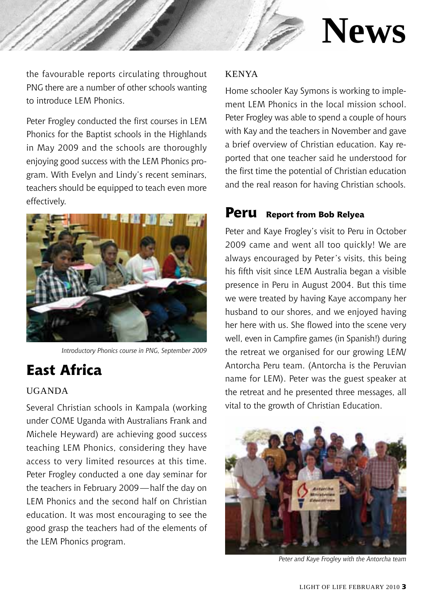

# **News**

the favourable reports circulating throughout PNG there are a number of other schools wanting to introduce LEM Phonics.

Peter Frogley conducted the first courses in LEM Phonics for the Baptist schools in the Highlands in May 2009 and the schools are thoroughly enjoying good success with the LEM Phonics program. With Evelyn and Lindy's recent seminars, teachers should be equipped to teach even more effectively.



*Introductory Phonics course in PNG, September 2009*

# **East Africa**

#### Uganda

Several Christian schools in Kampala (working under COME Uganda with Australians Frank and Michele Heyward) are achieving good success teaching LEM Phonics, considering they have access to very limited resources at this time. Peter Frogley conducted a one day seminar for the teachers in February 2009—half the day on LEM Phonics and the second half on Christian education. It was most encouraging to see the good grasp the teachers had of the elements of the LEM Phonics program.

#### **KENYA**

Home schooler Kay Symons is working to implement LEM Phonics in the local mission school. Peter Frogley was able to spend a couple of hours with Kay and the teachers in November and gave a brief overview of Christian education. Kay reported that one teacher said he understood for the first time the potential of Christian education and the real reason for having Christian schools.

### **Peru Report from Bob Relyea**

Peter and Kaye Frogley's visit to Peru in October 2009 came and went all too quickly! We are always encouraged by Peter's visits, this being his fifth visit since LEM Australia began a visible presence in Peru in August 2004. But this time we were treated by having Kaye accompany her husband to our shores, and we enjoyed having her here with us. She flowed into the scene very well, even in Campfire games (in Spanish!) during the retreat we organised for our growing LEM/ Antorcha Peru team. (Antorcha is the Peruvian name for LEM). Peter was the guest speaker at the retreat and he presented three messages, all vital to the growth of Christian Education.



*Peter and Kaye Frogley with the Antorcha team*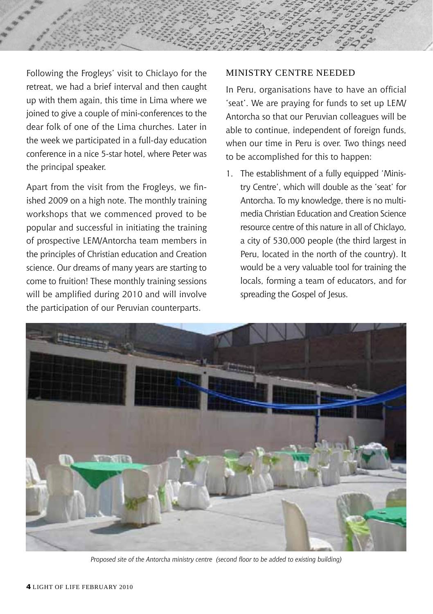

Following the Frogleys' visit to Chiclayo for the retreat, we had a brief interval and then caught up with them again, this time in Lima where we joined to give a couple of mini-conferences to the dear folk of one of the Lima churches. Later in the week we participated in a full-day education conference in a nice 5-star hotel, where Peter was the principal speaker.

Apart from the visit from the Frogleys, we finished 2009 on a high note. The monthly training workshops that we commenced proved to be popular and successful in initiating the training of prospective LEM/Antorcha team members in the principles of Christian education and Creation science. Our dreams of many years are starting to come to fruition! These monthly training sessions will be amplified during 2010 and will involve the participation of our Peruvian counterparts.

#### Ministry Centre Needed

In Peru, organisations have to have an official 'seat'. We are praying for funds to set up LEM/ Antorcha so that our Peruvian colleagues will be able to continue, independent of foreign funds, when our time in Peru is over. Two things need to be accomplished for this to happen:

1. The establishment of a fully equipped 'Ministry Centre', which will double as the 'seat' for Antorcha. To my knowledge, there is no multimedia Christian Education and Creation Science resource centre of this nature in all of Chiclayo, a city of 530,000 people (the third largest in Peru, located in the north of the country). It would be a very valuable tool for training the locals, forming a team of educators, and for spreading the Gospel of Jesus.



*Proposed site of the Antorcha ministry centre (second floor to be added to existing building)*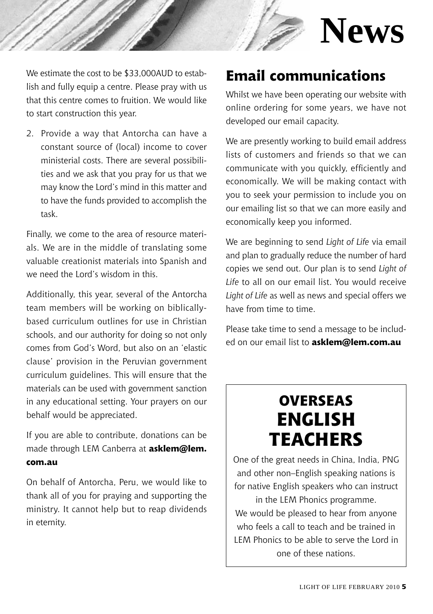

We estimate the cost to be \$33,000AUD to establish and fully equip a centre. Please pray with us that this centre comes to fruition. We would like to start construction this year.

2. Provide a way that Antorcha can have a constant source of (local) income to cover ministerial costs. There are several possibilities and we ask that you pray for us that we may know the Lord's mind in this matter and to have the funds provided to accomplish the task.

Finally, we come to the area of resource materials. We are in the middle of translating some valuable creationist materials into Spanish and we need the Lord's wisdom in this.

Additionally, this year, several of the Antorcha team members will be working on biblicallybased curriculum outlines for use in Christian schools, and our authority for doing so not only comes from God's Word, but also on an 'elastic clause' provision in the Peruvian government curriculum guidelines. This will ensure that the materials can be used with government sanction in any educational setting. Your prayers on our behalf would be appreciated.

If you are able to contribute, donations can be made through LEM Canberra at **asklem@lem. com.au**

On behalf of Antorcha, Peru, we would like to thank all of you for praying and supporting the ministry. It cannot help but to reap dividends in eternity.

# **Email communications**

Whilst we have been operating our website with online ordering for some years, we have not developed our email capacity.

We are presently working to build email address lists of customers and friends so that we can communicate with you quickly, efficiently and economically. We will be making contact with you to seek your permission to include you on our emailing list so that we can more easily and economically keep you informed.

We are beginning to send *Light of Life* via email and plan to gradually reduce the number of hard copies we send out. Our plan is to send *Light of Life* to all on our email list. You would receive *Light of Life* as well as news and special offers we have from time to time.

Please take time to send a message to be included on our email list to **asklem@lem.com.au**

# **Overseas English Teachers**

One of the great needs in China, India, PNG and other non–English speaking nations is for native English speakers who can instruct

in the LEM Phonics programme. We would be pleased to hear from anyone who feels a call to teach and be trained in LEM Phonics to be able to serve the Lord in one of these nations.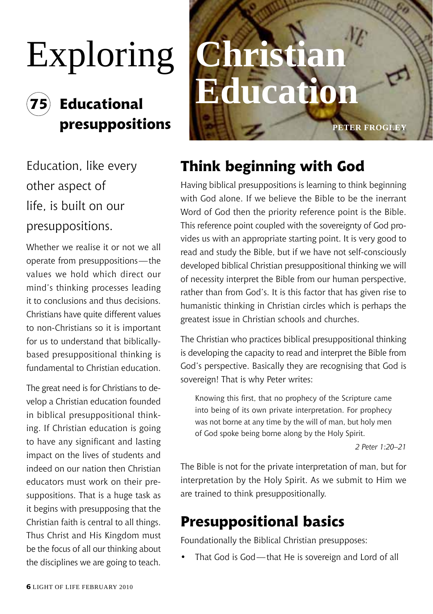# Exploring **Christian**

# **75 Educational**

Education, like every other aspect of life, is built on our presuppositions.

Whether we realise it or not we all operate from presuppositions—the values we hold which direct our mind's thinking processes leading it to conclusions and thus decisions. Christians have quite different values to non-Christians so it is important for us to understand that biblicallybased presuppositional thinking is fundamental to Christian education.

The great need is for Christians to develop a Christian education founded in biblical presuppositional thinking. If Christian education is going to have any significant and lasting impact on the lives of students and indeed on our nation then Christian educators must work on their presuppositions. That is a huge task as it begins with presupposing that the Christian faith is central to all things. Thus Christ and His Kingdom must be the focus of all our thinking about the disciplines we are going to teach.

# **presuppositions PETER FROGLEY Education**

# **Think beginning with God**

Having biblical presuppositions is learning to think beginning with God alone. If we believe the Bible to be the inerrant Word of God then the priority reference point is the Bible. This reference point coupled with the sovereignty of God provides us with an appropriate starting point. It is very good to read and study the Bible, but if we have not self-consciously developed biblical Christian presuppositional thinking we will of necessity interpret the Bible from our human perspective, rather than from God's. It is this factor that has given rise to humanistic thinking in Christian circles which is perhaps the greatest issue in Christian schools and churches.

The Christian who practices biblical presuppositional thinking is developing the capacity to read and interpret the Bible from God's perspective. Basically they are recognising that God is sovereign! That is why Peter writes:

Knowing this first, that no prophecy of the Scripture came into being of its own private interpretation. For prophecy was not borne at any time by the will of man, but holy men of God spoke being borne along by the Holy Spirit.

*2 Peter 1:20–21*

The Bible is not for the private interpretation of man, but for interpretation by the Holy Spirit. As we submit to Him we are trained to think presuppositionally.

# **Presuppositional basics**

Foundationally the Biblical Christian presupposes:

That God is God—that He is sovereign and Lord of all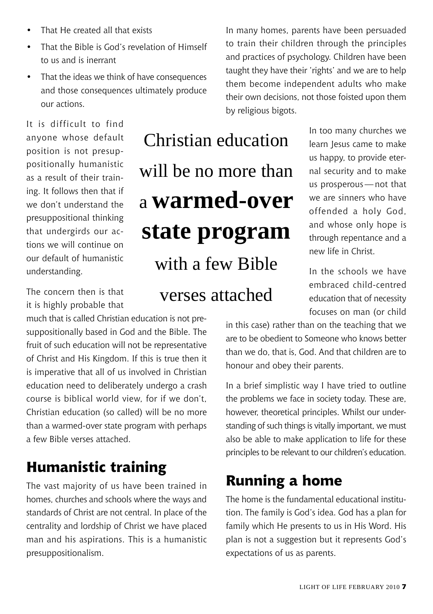- That He created all that exists
- That the Bible is God's revelation of Himself to us and is inerrant
- That the ideas we think of have consequences and those consequences ultimately produce our actions.

It is difficult to find anyone whose default position is not presuppositionally humanistic as a result of their training. It follows then that if we don't understand the presuppositional thinking that undergirds our actions we will continue on our default of humanistic understanding.

The concern then is that it is highly probable that

much that is called Christian education is not presuppositionally based in God and the Bible. The fruit of such education will not be representative of Christ and His Kingdom. If this is true then it is imperative that all of us involved in Christian education need to deliberately undergo a crash course is biblical world view, for if we don't, Christian education (so called) will be no more than a warmed-over state program with perhaps a few Bible verses attached.

# **Humanistic training**

The vast majority of us have been trained in homes, churches and schools where the ways and standards of Christ are not central. In place of the centrality and lordship of Christ we have placed man and his aspirations. This is a humanistic presuppositionalism.

Christian education will be no more than a **warmed-over state program** with a few Bible verses attached

In many homes, parents have been persuaded to train their children through the principles and practices of psychology. Children have been taught they have their 'rights' and we are to help them become independent adults who make their own decisions, not those foisted upon them by religious bigots.

> In too many churches we learn Jesus came to make us happy, to provide eternal security and to make us prosperous—not that we are sinners who have offended a holy God, and whose only hope is through repentance and a new life in Christ.

> In the schools we have embraced child-centred education that of necessity focuses on man (or child

in this case) rather than on the teaching that we are to be obedient to Someone who knows better than we do, that is, God. And that children are to honour and obey their parents.

In a brief simplistic way I have tried to outline the problems we face in society today. These are, however, theoretical principles. Whilst our understanding of such things is vitally important, we must also be able to make application to life for these principles to be relevant to our children's education.

# **Running a home**

The home is the fundamental educational institution. The family is God's idea. God has a plan for family which He presents to us in His Word. His plan is not a suggestion but it represents God's expectations of us as parents.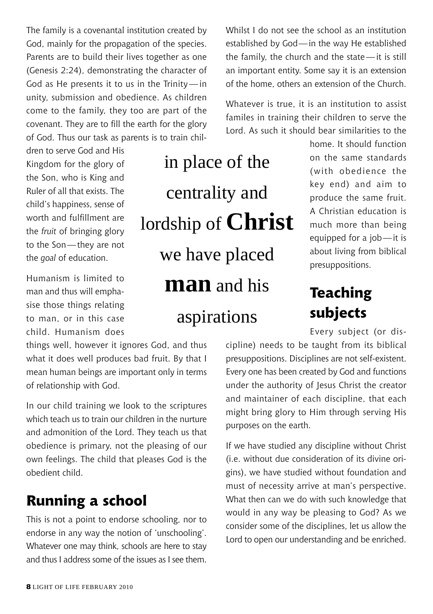The family is a covenantal institution created by God, mainly for the propagation of the species. Parents are to build their lives together as one (Genesis 2:24), demonstrating the character of God as He presents it to us in the Trinity — in unity, submission and obedience. As children come to the family, they too are part of the covenant. They are to fill the earth for the glory of God. Thus our task as parents is to train chil-

dren to serve God and His Kingdom for the glory of the Son, who is King and Ruler of all that exists. The child's happiness, sense of worth and fulfillment are the *fruit* of bringing glory to the Son—they are not the *goal* of education.

Humanism is limited to man and thus will emphasise those things relating to man, or in this case child. Humanism does

things well, however it ignores God, and thus what it does well produces bad fruit. By that I mean human beings are important only in terms of relationship with God.

In our child training we look to the scriptures which teach us to train our children in the nurture and admonition of the Lord. They teach us that obedience is primary, not the pleasing of our own feelings. The child that pleases God is the obedient child.

# **Running a school**

This is not a point to endorse schooling, nor to endorse in any way the notion of 'unschooling'. Whatever one may think, schools are here to stay and thus I address some of the issues as I see them.

in place of the centrality and lordship of **Christ** we have placed **man** and his

aspirations

Whilst I do not see the school as an institution established by God—in the way He established the family, the church and the state—it is still an important entity. Some say it is an extension of the home, others an extension of the Church.

Whatever is true, it is an institution to assist familes in training their children to serve the Lord. As such it should bear similarities to the

> home. It should function on the same standards (with obedience the key end) and aim to produce the same fruit. A Christian education is much more than being equipped for a job—it is about living from biblical presuppositions.

# **Teaching subjects**

Every subject (or dis-

cipline) needs to be taught from its biblical presuppositions. Disciplines are not self-existent. Every one has been created by God and functions under the authority of Jesus Christ the creator and maintainer of each discipline, that each might bring glory to Him through serving His purposes on the earth.

If we have studied any discipline without Christ (i.e. without due consideration of its divine origins), we have studied without foundation and must of necessity arrive at man's perspective. What then can we do with such knowledge that would in any way be pleasing to God? As we consider some of the disciplines, let us allow the Lord to open our understanding and be enriched.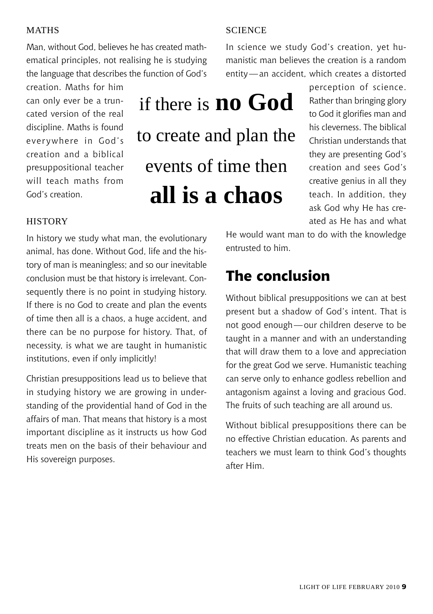#### **MATHS**

Man, without God, believes he has created mathematical principles, not realising he is studying the language that describes the function of God's

creation. Maths for him can only ever be a truncated version of the real discipline. Maths is found everywhere in God's creation and a biblical presuppositional teacher will teach maths from God's creation.

# if there is **no God** to create and plan the events of time then **all is a chaos**

### perception of science. Rather than bringing glory to God it glorifies man and his cleverness. The biblical Christian understands that they are presenting God's creation and sees God's creative genius in all they teach. In addition, they ask God why He has cre-

ated as He has and what

#### **HISTORY**

In history we study what man, the evolutionary animal, has done. Without God, life and the history of man is meaningless; and so our inevitable conclusion must be that history is irrelevant. Consequently there is no point in studying history. If there is no God to create and plan the events of time then all is a chaos, a huge accident, and there can be no purpose for history. That, of necessity, is what we are taught in humanistic institutions, even if only implicitly!

Christian presuppositions lead us to believe that in studying history we are growing in understanding of the providential hand of God in the affairs of man. That means that history is a most important discipline as it instructs us how God treats men on the basis of their behaviour and His sovereign purposes.

He would want man to do with the knowledge entrusted to him.

### **The conclusion**

Without biblical presuppositions we can at best present but a shadow of God's intent. That is not good enough—our children deserve to be taught in a manner and with an understanding that will draw them to a love and appreciation for the great God we serve. Humanistic teaching can serve only to enhance godless rebellion and antagonism against a loving and gracious God. The fruits of such teaching are all around us.

Without biblical presuppositions there can be no effective Christian education. As parents and teachers we must learn to think God's thoughts after Him.

#### **SCIENCE**

In science we study God's creation, yet humanistic man believes the creation is a random entity—an accident, which creates a distorted

Light of Life February 2010 9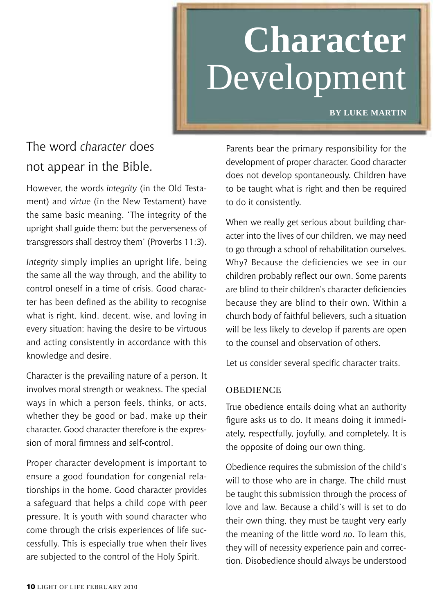# **Character** Development

**by Luke Martin**

# The word *character* does not appear in the Bible.

However, the words *integrity* (in the Old Testament) and *virtue* (in the New Testament) have the same basic meaning. 'The integrity of the upright shall guide them: but the perverseness of transgressors shall destroy them' (Proverbs 11:3).

*Integrity* simply implies an upright life, being the same all the way through, and the ability to control oneself in a time of crisis. Good character has been defined as the ability to recognise what is right, kind, decent, wise, and loving in every situation; having the desire to be virtuous and acting consistently in accordance with this knowledge and desire.

Character is the prevailing nature of a person. It involves moral strength or weakness. The special ways in which a person feels, thinks, or acts, whether they be good or bad, make up their character. Good character therefore is the expression of moral firmness and self-control.

Proper character development is important to ensure a good foundation for congenial relationships in the home. Good character provides a safeguard that helps a child cope with peer pressure. It is youth with sound character who come through the crisis experiences of life successfully. This is especially true when their lives are subjected to the control of the Holy Spirit.

Parents bear the primary responsibility for the development of proper character. Good character does not develop spontaneously. Children have to be taught what is right and then be required to do it consistently.

When we really get serious about building character into the lives of our children, we may need to go through a school of rehabilitation ourselves. Why? Because the deficiencies we see in our children probably reflect our own. Some parents are blind to their children's character deficiencies because they are blind to their own. Within a church body of faithful believers, such a situation will be less likely to develop if parents are open to the counsel and observation of others.

Let us consider several specific character traits.

#### **OBEDIENCE**

True obedience entails doing what an authority figure asks us to do. It means doing it immediately, respectfully, joyfully, and completely. It is the opposite of doing our own thing.

Obedience requires the submission of the child's will to those who are in charge. The child must be taught this submission through the process of love and law. Because a child's will is set to do their own thing, they must be taught very early the meaning of the little word *no*. To learn this, they will of necessity experience pain and correction. Disobedience should always be understood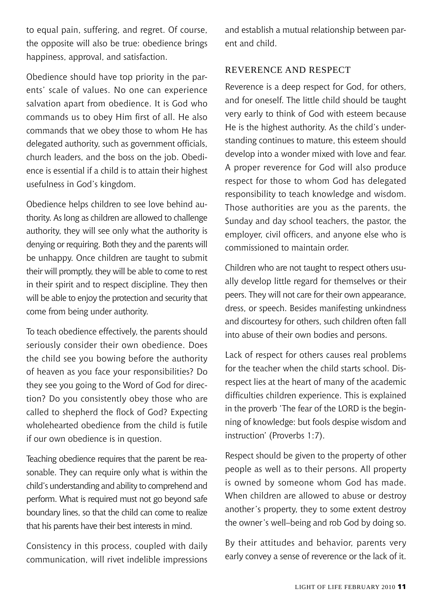to equal pain, suffering, and regret. Of course, the opposite will also be true: obedience brings happiness, approval, and satisfaction.

Obedience should have top priority in the parents' scale of values. No one can experience salvation apart from obedience. It is God who commands us to obey Him first of all. He also commands that we obey those to whom He has delegated authority, such as government officials, church leaders, and the boss on the job. Obedience is essential if a child is to attain their highest usefulness in God's kingdom.

Obedience helps children to see love behind authority. As long as children are allowed to challenge authority, they will see only what the authority is denying or requiring. Both they and the parents will be unhappy. Once children are taught to submit their will promptly, they will be able to come to rest in their spirit and to respect discipline. They then will be able to enjoy the protection and security that come from being under authority.

To teach obedience effectively, the parents should seriously consider their own obedience. Does the child see you bowing before the authority of heaven as you face your responsibilities? Do they see you going to the Word of God for direction? Do you consistently obey those who are called to shepherd the flock of God? Expecting wholehearted obedience from the child is futile if our own obedience is in question.

Teaching obedience requires that the parent be reasonable. They can require only what is within the child's understanding and ability to comprehend and perform. What is required must not go beyond safe boundary lines, so that the child can come to realize that his parents have their best interests in mind.

Consistency in this process, coupled with daily communication, will rivet indelible impressions

and establish a mutual relationship between parent and child.

#### Reverence and Respect

Reverence is a deep respect for God, for others, and for oneself. The little child should be taught very early to think of God with esteem because He is the highest authority. As the child's understanding continues to mature, this esteem should develop into a wonder mixed with love and fear. A proper reverence for God will also produce respect for those to whom God has delegated responsibility to teach knowledge and wisdom. Those authorities are you as the parents, the Sunday and day school teachers, the pastor, the employer, civil officers, and anyone else who is commissioned to maintain order.

Children who are not taught to respect others usually develop little regard for themselves or their peers. They will not care for their own appearance, dress, or speech. Besides manifesting unkindness and discourtesy for others, such children often fall into abuse of their own bodies and persons.

Lack of respect for others causes real problems for the teacher when the child starts school. Disrespect lies at the heart of many of the academic difficulties children experience. This is explained in the proverb 'The fear of the LORD is the beginning of knowledge: but fools despise wisdom and instruction' (Proverbs 1:7).

Respect should be given to the property of other people as well as to their persons. All property is owned by someone whom God has made. When children are allowed to abuse or destroy another's property, they to some extent destroy the owner's well–being and rob God by doing so.

By their attitudes and behavior, parents very early convey a sense of reverence or the lack of it.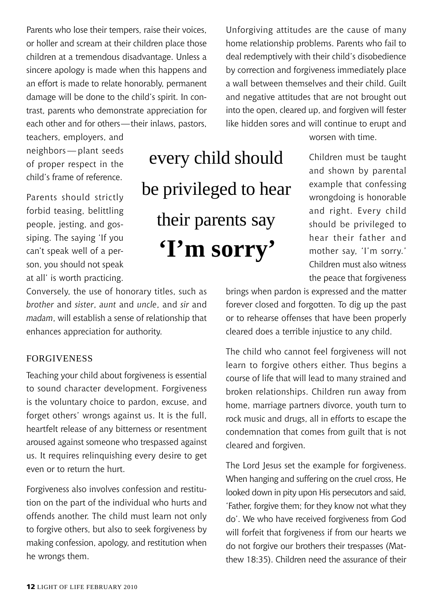Parents who lose their tempers, raise their voices, or holler and scream at their children place those children at a tremendous disadvantage. Unless a sincere apology is made when this happens and an effort is made to relate honorably, permanent damage will be done to the child's spirit. In contrast, parents who demonstrate appreciation for each other and for others—their inlaws, pastors,

teachers, employers, and neighbors — plant seeds of proper respect in the child's frame of reference.

Parents should strictly forbid teasing, belittling people, jesting, and gossiping. The saying 'If you can't speak well of a person, you should not speak at all' is worth practicing.

Conversely, the use of honorary titles, such as *brother* and *sister*, *aunt* and *uncle*, and *sir* and *madam*, will establish a sense of relationship that enhances appreciation for authority.

#### **FORGIVENESS**

Teaching your child about forgiveness is essential to sound character development. Forgiveness is the voluntary choice to pardon, excuse, and forget others' wrongs against us. It is the full, heartfelt release of any bitterness or resentment aroused against someone who trespassed against us. It requires relinquishing every desire to get even or to return the hurt.

Forgiveness also involves confession and restitution on the part of the individual who hurts and offends another. The child must learn not only to forgive others, but also to seek forgiveness by making confession, apology, and restitution when he wrongs them.

every child should be privileged to hear their parents say **'I'm sorry'**

Unforgiving attitudes are the cause of many home relationship problems. Parents who fail to deal redemptively with their child's disobedience by correction and forgiveness immediately place a wall between themselves and their child. Guilt and negative attitudes that are not brought out into the open, cleared up, and forgiven will fester like hidden sores and will continue to erupt and

worsen with time.

Children must be taught and shown by parental example that confessing wrongdoing is honorable and right. Every child should be privileged to hear their father and mother say, 'I'm sorry.' Children must also witness the peace that forgiveness

brings when pardon is expressed and the matter forever closed and forgotten. To dig up the past or to rehearse offenses that have been properly cleared does a terrible injustice to any child.

The child who cannot feel forgiveness will not learn to forgive others either. Thus begins a course of life that will lead to many strained and broken relationships. Children run away from home, marriage partners divorce, youth turn to rock music and drugs, all in efforts to escape the condemnation that comes from guilt that is not cleared and forgiven.

The Lord Jesus set the example for forgiveness. When hanging and suffering on the cruel cross, He looked down in pity upon His persecutors and said, 'Father, forgive them; for they know not what they do'. We who have received forgiveness from God will forfeit that forgiveness if from our hearts we do not forgive our brothers their trespasses (Matthew 18:35). Children need the assurance of their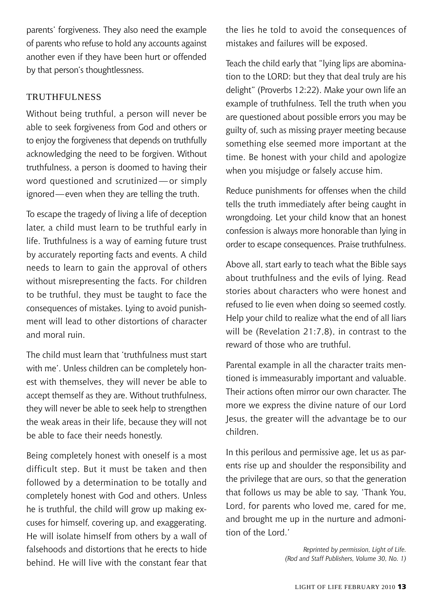parents' forgiveness. They also need the example of parents who refuse to hold any accounts against another even if they have been hurt or offended by that person's thoughtlessness.

#### TRUTHFULNESS

Without being truthful, a person will never be able to seek forgiveness from God and others or to enjoy the forgiveness that depends on truthfully acknowledging the need to be forgiven. Without truthfulness, a person is doomed to having their word questioned and scrutinized — or simply ignored—even when they are telling the truth.

To escape the tragedy of living a life of deception later, a child must learn to be truthful early in life. Truthfulness is a way of earning future trust by accurately reporting facts and events. A child needs to learn to gain the approval of others without misrepresenting the facts. For children to be truthful, they must be taught to face the consequences of mistakes. Lying to avoid punishment will lead to other distortions of character and moral ruin.

The child must learn that 'truthfulness must start with me'. Unless children can be completely honest with themselves, they will never be able to accept themself as they are. Without truthfulness, they will never be able to seek help to strengthen the weak areas in their life, because they will not be able to face their needs honestly.

Being completely honest with oneself is a most difficult step. But it must be taken and then followed by a determination to be totally and completely honest with God and others. Unless he is truthful, the child will grow up making excuses for himself, covering up, and exaggerating. He will isolate himself from others by a wall of falsehoods and distortions that he erects to hide behind. He will live with the constant fear that the lies he told to avoid the consequences of mistakes and failures will be exposed.

Teach the child early that "lying lips are abomination to the LORD: but they that deal truly are his delight" (Proverbs 12:22). Make your own life an example of truthfulness. Tell the truth when you are questioned about possible errors you may be guilty of, such as missing prayer meeting because something else seemed more important at the time. Be honest with your child and apologize when you misjudge or falsely accuse him.

Reduce punishments for offenses when the child tells the truth immediately after being caught in wrongdoing. Let your child know that an honest confession is always more honorable than lying in order to escape consequences. Praise truthfulness.

Above all, start early to teach what the Bible says about truthfulness and the evils of lying. Read stories about characters who were honest and refused to lie even when doing so seemed costly. Help your child to realize what the end of all liars will be (Revelation 21:7,8), in contrast to the reward of those who are truthful.

Parental example in all the character traits mentioned is immeasurably important and valuable. Their actions often mirror our own character. The more we express the divine nature of our Lord Jesus, the greater will the advantage be to our children.

In this perilous and permissive age, let us as parents rise up and shoulder the responsibility and the privilege that are ours, so that the generation that follows us may be able to say, 'Thank You, Lord, for parents who loved me, cared for me, and brought me up in the nurture and admonition of the Lord.'

> *Reprinted by permission, Light of Life. (Rod and Staff Publishers, Volume 30, No. 1)*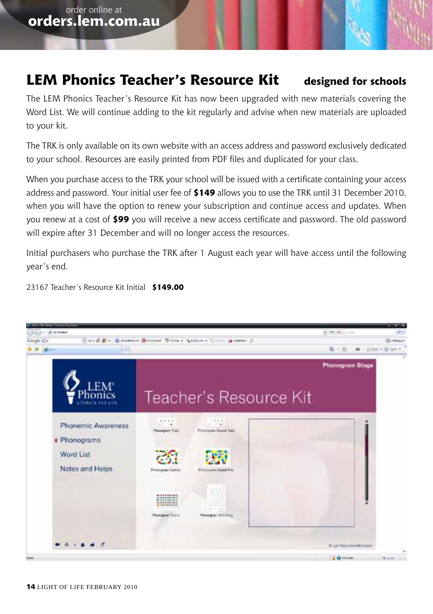# **LEM Phonics Teacher's Resource Kit designed for schools**

The LEM Phonics Teacher's Resource Kit has now been upgraded with new materials covering the Word List. We will continue adding to the kit regularly and advise when new materials are uploaded to your kit.

The TRK is only available on its own website with an access address and password exclusively dedicated to your school. Resources are easily printed from PDF files and duplicated for your class.

When you purchase access to the TRK your school will be issued with a certificate containing your access address and password. Your initial user fee of **\$149** allows you to use the TRK until 31 December 2010, when you will have the option to renew your subscription and continue access and updates. When you renew at a cost of **\$99** you will receive a new access certificate and password. The old password will expire after 31 December and will no longer access the resources.

Initial purchasers who purchase the TRK after 1 August each year will have access until the following year's end.

23167 Teacher's Resource Kit Initial **\$149.00**

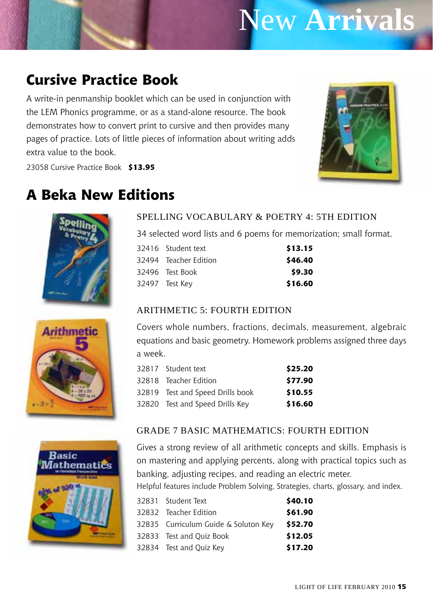# New **Arrivals**

# **Cursive Practice Book**

A write-in penmanship booklet which can be used in conjunction with the LEM Phonics programme, or as a stand-alone resource. The book demonstrates how to convert print to cursive and then provides many pages of practice. Lots of little pieces of information about writing adds extra value to the book.



23058 Cursive Practice Book **\$13.95**

# **A Beka New Editions**







#### Spelling Vocabulary & Poetry 4: 5th edition

34 selected word lists and 6 poems for memorization; small format.

| 32416 Student text    | \$13.15 |
|-----------------------|---------|
| 32494 Teacher Edition | \$46.40 |
| 32496 Test Book       | \$9.30  |
| 32497 Test Key        | \$16.60 |

#### ARITHMETIC  $5$ <sup> $\cdot$ </sup> FOURTH EDITION

Covers whole numbers, fractions, decimals, measurement, algebraic equations and basic geometry. Homework problems assigned three days a week.

| 32817 Student text               | \$25.20 |
|----------------------------------|---------|
| 32818 Teacher Edition            | \$77.90 |
| 32819 Test and Speed Drills book | \$10.55 |
| 32820 Test and Speed Drills Key  | \$16.60 |

#### Grade 7 Basic Mathematics: fourth edition

Gives a strong review of all arithmetic concepts and skills. Emphasis is on mastering and applying percents, along with practical topics such as banking, adjusting recipes, and reading an electric meter.

Helpful features include Problem Solving, Strategies, charts, glossary, and index.

| 32831 Student Text                   | \$40.10 |
|--------------------------------------|---------|
| 32832 Teacher Edition                | \$61.90 |
| 32835 Curriculum Guide & Soluton Key | \$52.70 |
| 32833 Test and Ouiz Book             | \$12.05 |
| 32834 Test and Ouiz Key              | \$17.20 |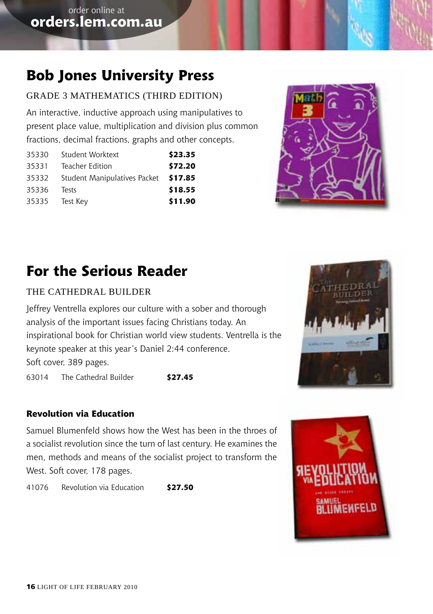# **Bob Jones University Press**

### Grade 3 Mathematics (third edition)

An interactive, inductive approach using manipulatives to present place value, multiplication and division plus common fractions, decimal fractions, graphs and other concepts.

| 35330 | Student Worktext             | \$23.35 |
|-------|------------------------------|---------|
| 35331 | Teacher Edition              | \$72.20 |
| 35332 | Student Manipulatives Packet | \$17.85 |
| 35336 | Tests                        | \$18.55 |
| 35335 | Test Key                     | \$11.90 |



# **For the Serious Reader**

#### THE CATHEDRAL BUILDER

Jeffrey Ventrella explores our culture with a sober and thorough analysis of the important issues facing Christians today. An inspirational book for Christian world view students. Ventrella is the keynote speaker at this year's Daniel 2:44 conference. Soft cover, 389 pages.

63014 The Cathedral Builder **\$27.45**

### **Revolution via Education**

Samuel Blumenfeld shows how the West has been in the throes of a socialist revolution since the turn of last century. He examines the men, methods and means of the socialist project to transform the West. Soft cover, 178 pages.

41076 Revolution via Education **\$27.50**



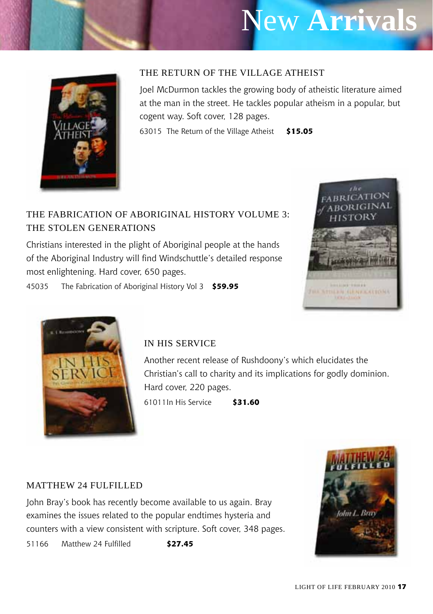# New **Arrivals**



#### The Return of the Village Atheist

Joel McDurmon tackles the growing body of atheistic literature aimed at the man in the street. He tackles popular atheism in a popular, but cogent way. Soft cover, 128 pages.

63015 The Return of the Village Atheist **\$15.05**

### The Fabrication of Aboriginal History Volume 3: The Stolen Generations

Christians interested in the plight of Aboriginal people at the hands of the Aboriginal Industry will find Windschuttle's detailed response most enlightening. Hard cover, 650 pages.



45035 The Fabrication of Aboriginal History Vol 3 **\$59.95**



### In His Service

Another recent release of Rushdoony's which elucidates the Christian's call to charity and its implications for godly dominion. Hard cover, 220 pages.

61011In His Service **\$31.60**

#### MATTHEW 24 FULFILLED

John Bray's book has recently become available to us again. Bray examines the issues related to the popular endtimes hysteria and counters with a view consistent with scripture. Soft cover, 348 pages.

51166 Matthew 24 Fulfilled **\$27.45**

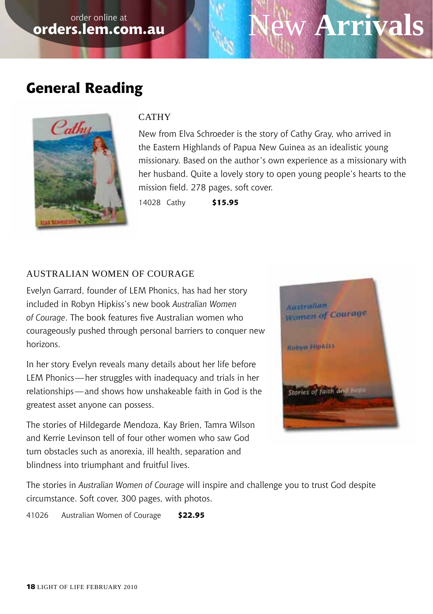# **w Arrivals**

# **General Reading**



#### CATHY

New from Elva Schroeder is the story of Cathy Gray, who arrived in the Eastern Highlands of Papua New Guinea as an idealistic young missionary. Based on the author's own experience as a missionary with her husband. Quite a lovely story to open young people's hearts to the mission field. 278 pages, soft cover.

14028 Cathy **\$15.95**

### Australian Women of Courage

Evelyn Garrard, founder of LEM Phonics, has had her story included in Robyn Hipkiss's new book *Australian Women of Courage*. The book features five Australian women who courageously pushed through personal barriers to conquer new horizons.

In her story Evelyn reveals many details about her life before LEM Phonics—her struggles with inadequacy and trials in her relationships—and shows how unshakeable faith in God is the greatest asset anyone can possess.

The stories of Hildegarde Mendoza, Kay Brien, Tamra Wilson and Kerrie Levinson tell of four other women who saw God turn obstacles such as anorexia, ill health, separation and blindness into triumphant and fruitful lives.



The stories in *Australian Women of Courage* will inspire and challenge you to trust God despite circumstance. Soft cover, 300 pages, with photos.

41026 Australian Women of Courage **\$22.95**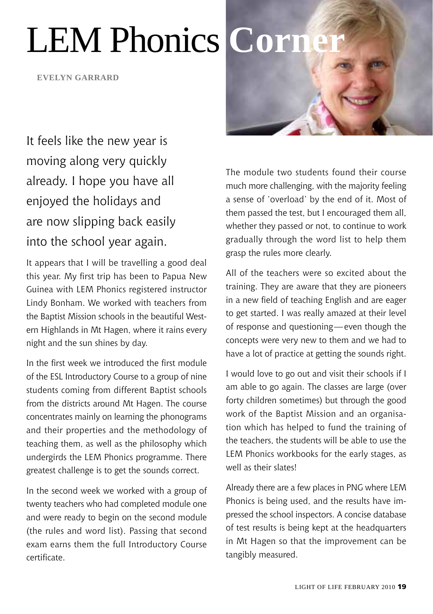# LEM Phonics **Corn**

**Evelyn garrard**

It feels like the new year is moving along very quickly already. I hope you have all enjoyed the holidays and are now slipping back easily into the school year again.

It appears that I will be travelling a good deal this year. My first trip has been to Papua New Guinea with LEM Phonics registered instructor Lindy Bonham. We worked with teachers from the Baptist Mission schools in the beautiful Western Highlands in Mt Hagen, where it rains every night and the sun shines by day.

In the first week we introduced the first module of the ESL Introductory Course to a group of nine students coming from different Baptist schools from the districts around Mt Hagen. The course concentrates mainly on learning the phonograms and their properties and the methodology of teaching them, as well as the philosophy which undergirds the LEM Phonics programme. There greatest challenge is to get the sounds correct.

In the second week we worked with a group of twenty teachers who had completed module one and were ready to begin on the second module (the rules and word list). Passing that second exam earns them the full Introductory Course certificate.



The module two students found their course much more challenging, with the majority feeling a sense of 'overload' by the end of it. Most of them passed the test, but I encouraged them all, whether they passed or not, to continue to work gradually through the word list to help them grasp the rules more clearly.

All of the teachers were so excited about the training. They are aware that they are pioneers in a new field of teaching English and are eager to get started. I was really amazed at their level of response and questioning—even though the concepts were very new to them and we had to have a lot of practice at getting the sounds right.

I would love to go out and visit their schools if I am able to go again. The classes are large (over forty children sometimes) but through the good work of the Baptist Mission and an organisation which has helped to fund the training of the teachers, the students will be able to use the LEM Phonics workbooks for the early stages, as well as their slates!

Already there are a few places in PNG where LEM Phonics is being used, and the results have impressed the school inspectors. A concise database of test results is being kept at the headquarters in Mt Hagen so that the improvement can be tangibly measured.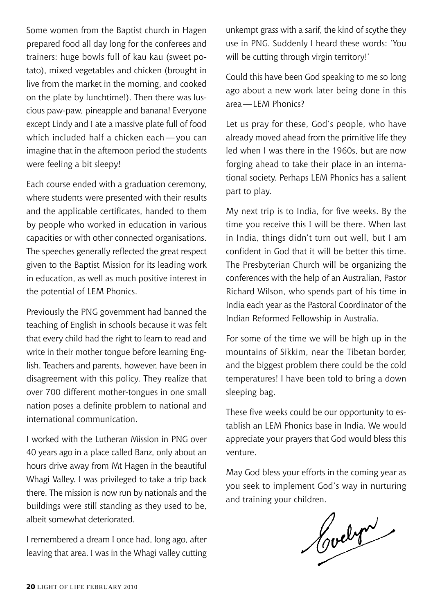Some women from the Baptist church in Hagen prepared food all day long for the conferees and trainers: huge bowls full of kau kau (sweet potato), mixed vegetables and chicken (brought in live from the market in the morning, and cooked on the plate by lunchtime!). Then there was luscious paw-paw, pineapple and banana! Everyone except Lindy and I ate a massive plate full of food which included half a chicken each—you can imagine that in the afternoon period the students were feeling a bit sleepy!

Each course ended with a graduation ceremony, where students were presented with their results and the applicable certificates, handed to them by people who worked in education in various capacities or with other connected organisations. The speeches generally reflected the great respect given to the Baptist Mission for its leading work in education, as well as much positive interest in the potential of LEM Phonics.

Previously the PNG government had banned the teaching of English in schools because it was felt that every child had the right to learn to read and write in their mother tongue before learning English. Teachers and parents, however, have been in disagreement with this policy. They realize that over 700 different mother-tongues in one small nation poses a definite problem to national and international communication.

I worked with the Lutheran Mission in PNG over 40 years ago in a place called Banz, only about an hours drive away from Mt Hagen in the beautiful Whagi Valley. I was privileged to take a trip back there. The mission is now run by nationals and the buildings were still standing as they used to be, albeit somewhat deteriorated.

I remembered a dream I once had, long ago, after leaving that area. I was in the Whagi valley cutting

unkempt grass with a sarif, the kind of scythe they use in PNG. Suddenly I heard these words: 'You will be cutting through virgin territory!'

Could this have been God speaking to me so long ago about a new work later being done in this area—LEM Phonics?

Let us pray for these, God's people, who have already moved ahead from the primitive life they led when I was there in the 1960s, but are now forging ahead to take their place in an international society. Perhaps LEM Phonics has a salient part to play.

My next trip is to India, for five weeks. By the time you receive this I will be there. When last in India, things didn't turn out well, but I am confident in God that it will be better this time. The Presbyterian Church will be organizing the conferences with the help of an Australian, Pastor Richard Wilson, who spends part of his time in India each year as the Pastoral Coordinator of the Indian Reformed Fellowship in Australia.

For some of the time we will be high up in the mountains of Sikkim, near the Tibetan border, and the biggest problem there could be the cold temperatures! I have been told to bring a down sleeping bag.

These five weeks could be our opportunity to establish an LEM Phonics base in India. We would appreciate your prayers that God would bless this venture.

May God bless your efforts in the coming year as you seek to implement God's way in nurturing and training your children.

Cochri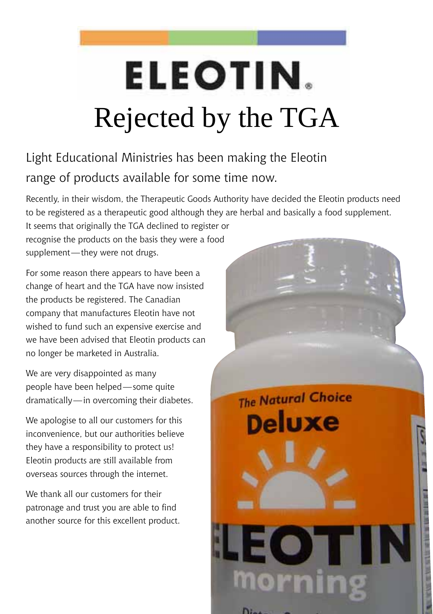# **ELEOTIN.** Rejected by the TGA

# Light Educational Ministries has been making the Eleotin range of products available for some time now.

Recently, in their wisdom, the Therapeutic Goods Authority have decided the Eleotin products need to be registered as a therapeutic good although they are herbal and basically a food supplement.

It seems that originally the TGA declined to register or recognise the products on the basis they were a food supplement—they were not drugs.

For some reason there appears to have been a change of heart and the TGA have now insisted the products be registered. The Canadian company that manufactures Eleotin have not wished to fund such an expensive exercise and we have been advised that Eleotin products can no longer be marketed in Australia.

We are very disappointed as many people have been helped—some quite dramatically—in overcoming their diabetes.

We apologise to all our customers for this inconvenience, but our authorities believe they have a responsibility to protect us! Eleotin products are still available from overseas sources through the internet.

We thank all our customers for their patronage and trust you are able to find another source for this excellent product.